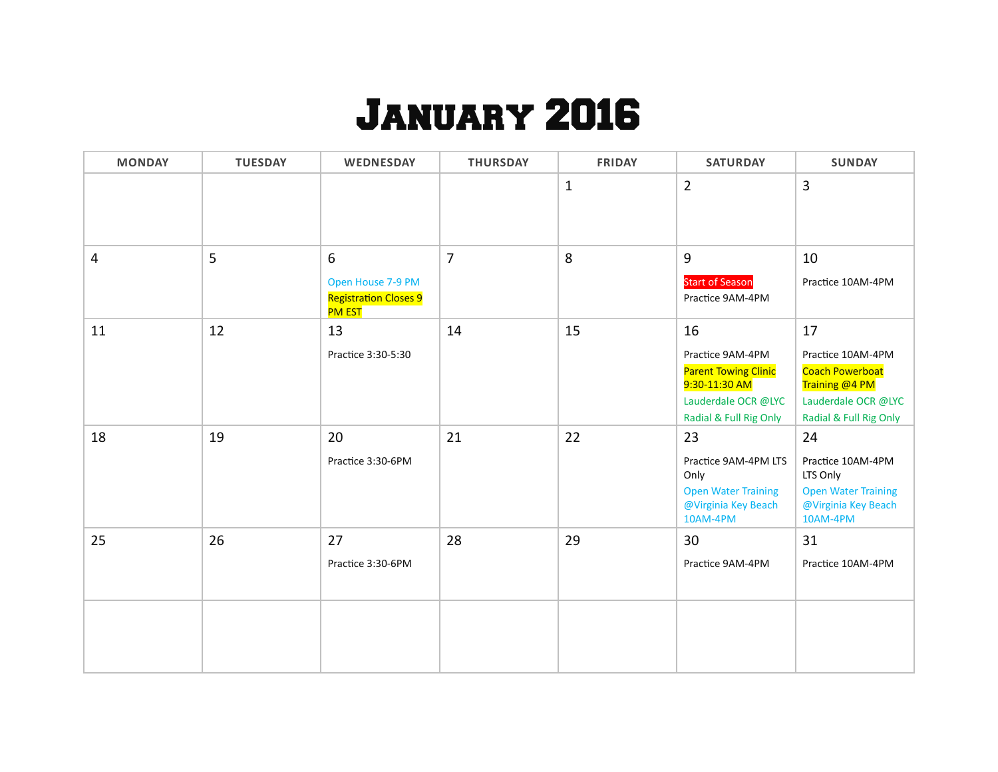## January 2016

| <b>MONDAY</b> | <b>TUESDAY</b> | WEDNESDAY                                                               | <b>THURSDAY</b> | <b>FRIDAY</b> | <b>SATURDAY</b>                                                                                                         | <b>SUNDAY</b>                                                                                                        |
|---------------|----------------|-------------------------------------------------------------------------|-----------------|---------------|-------------------------------------------------------------------------------------------------------------------------|----------------------------------------------------------------------------------------------------------------------|
|               |                |                                                                         |                 | $\mathbf{1}$  | $\overline{2}$                                                                                                          | 3                                                                                                                    |
| 4             | 5              | 6<br>Open House 7-9 PM<br><b>Registration Closes 9</b><br><b>PM EST</b> | $\overline{7}$  | 8             | 9<br><b>Start of Season</b><br>Practice 9AM-4PM                                                                         | 10<br>Practice 10AM-4PM                                                                                              |
| 11            | 12             | 13<br>Practice 3:30-5:30                                                | 14              | 15            | 16<br>Practice 9AM-4PM<br><b>Parent Towing Clinic</b><br>9:30-11:30 AM<br>Lauderdale OCR @LYC<br>Radial & Full Rig Only | 17<br>Practice 10AM-4PM<br><b>Coach Powerboat</b><br>Training @4 PM<br>Lauderdale OCR @LYC<br>Radial & Full Rig Only |
| 18            | 19             | 20<br>Practice 3:30-6PM                                                 | 21              | 22            | 23<br>Practice 9AM-4PM LTS<br>Only<br><b>Open Water Training</b><br>@Virginia Key Beach<br>10AM-4PM                     | 24<br>Practice 10AM-4PM<br>LTS Only<br><b>Open Water Training</b><br>@Virginia Key Beach<br>10AM-4PM                 |
| 25            | 26             | 27<br>Practice 3:30-6PM                                                 | 28              | 29            | 30<br>Practice 9AM-4PM                                                                                                  | 31<br>Practice 10AM-4PM                                                                                              |
|               |                |                                                                         |                 |               |                                                                                                                         |                                                                                                                      |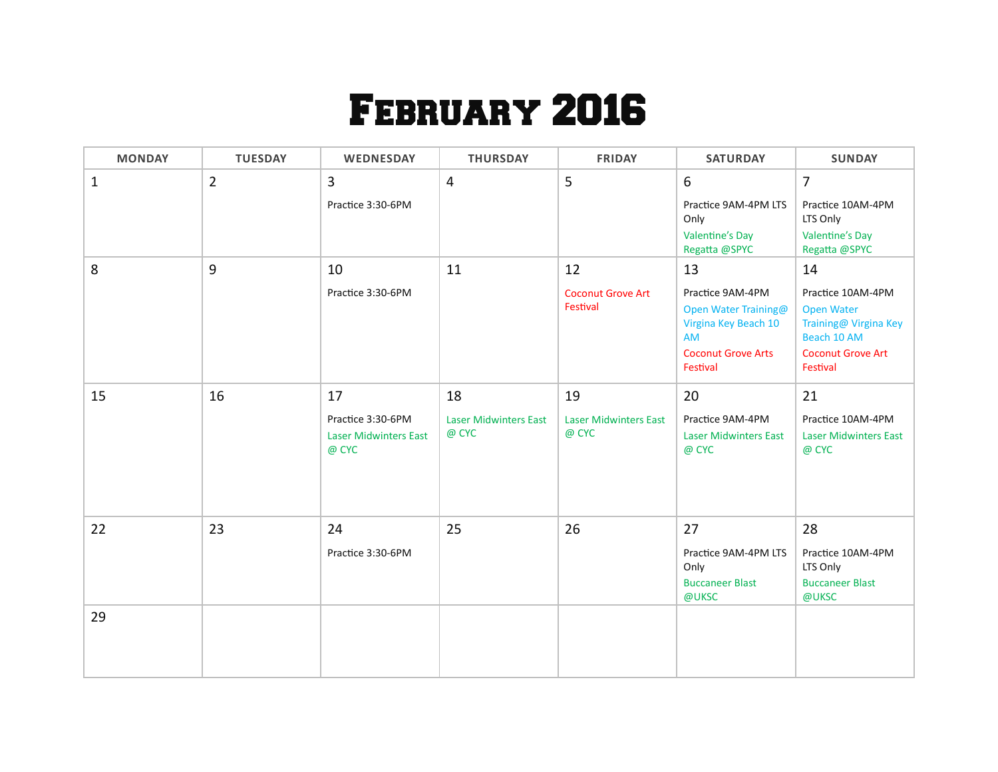## February 2016

| <b>MONDAY</b> | <b>TUESDAY</b> | WEDNESDAY                                                  | <b>THURSDAY</b>                       | <b>FRIDAY</b>                         | <b>SATURDAY</b>                                                               | <b>SUNDAY</b>                                                                  |
|---------------|----------------|------------------------------------------------------------|---------------------------------------|---------------------------------------|-------------------------------------------------------------------------------|--------------------------------------------------------------------------------|
| $\mathbf{1}$  | $\overline{2}$ | 3<br>Practice 3:30-6PM                                     | $\overline{4}$                        | 5                                     | 6<br>Practice 9AM-4PM LTS<br>Only<br><b>Valentine's Day</b>                   | $\overline{7}$<br>Practice 10AM-4PM<br>LTS Only                                |
|               |                |                                                            |                                       |                                       | Regatta @SPYC                                                                 | <b>Valentine's Day</b><br>Regatta @SPYC                                        |
| 8             | 9              | 10                                                         | 11                                    | 12                                    | 13                                                                            | 14                                                                             |
|               |                | Practice 3:30-6PM                                          |                                       | <b>Coconut Grove Art</b><br>Festival  | Practice 9AM-4PM<br>Open Water Training@<br>Virgina Key Beach 10<br><b>AM</b> | Practice 10AM-4PM<br><b>Open Water</b><br>Training@ Virgina Key<br>Beach 10 AM |
|               |                |                                                            |                                       |                                       | <b>Coconut Grove Arts</b><br>Festival                                         | <b>Coconut Grove Art</b><br>Festival                                           |
| 15            | 16             | 17                                                         | 18                                    | 19                                    | 20                                                                            | 21                                                                             |
|               |                | Practice 3:30-6PM<br><b>Laser Midwinters East</b><br>@ CYC | <b>Laser Midwinters East</b><br>@ CYC | <b>Laser Midwinters East</b><br>@ CYC | Practice 9AM-4PM<br><b>Laser Midwinters East</b><br>@ CYC                     | Practice 10AM-4PM<br><b>Laser Midwinters East</b><br>@ CYC                     |
| 22            | 23             | 24                                                         | 25                                    | 26                                    | 27                                                                            | 28                                                                             |
|               |                | Practice 3:30-6PM                                          |                                       |                                       | Practice 9AM-4PM LTS<br>Only<br><b>Buccaneer Blast</b><br>@UKSC               | Practice 10AM-4PM<br>LTS Only<br><b>Buccaneer Blast</b><br>@UKSC               |
| 29            |                |                                                            |                                       |                                       |                                                                               |                                                                                |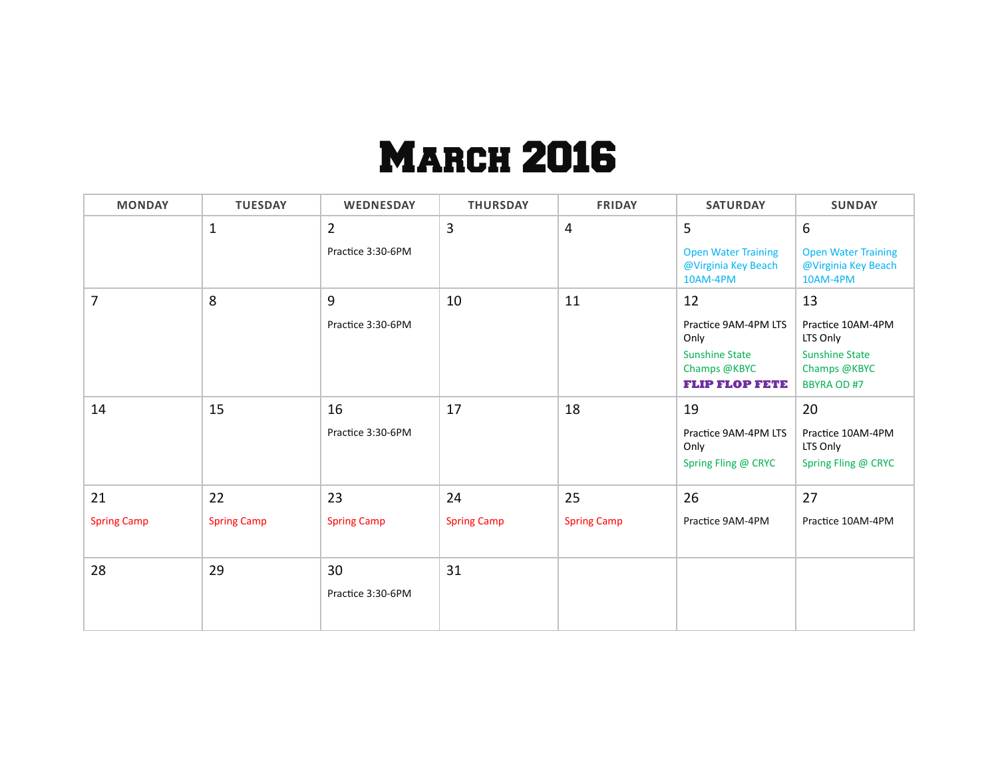## **MARCH 2016**

| <b>MONDAY</b>            | <b>TUESDAY</b>           | WEDNESDAY                           | <b>THURSDAY</b>          | <b>FRIDAY</b>            | <b>SATURDAY</b>                                                                                      | <b>SUNDAY</b>                                                                                      |
|--------------------------|--------------------------|-------------------------------------|--------------------------|--------------------------|------------------------------------------------------------------------------------------------------|----------------------------------------------------------------------------------------------------|
|                          | $\mathbf{1}$             | $\overline{2}$<br>Practice 3:30-6PM | 3                        | 4                        | 5<br><b>Open Water Training</b><br>@Virginia Key Beach<br>10AM-4PM                                   | 6<br><b>Open Water Training</b><br>@Virginia Key Beach<br>10AM-4PM                                 |
| 7                        | 8                        | 9<br>Practice 3:30-6PM              | 10                       | 11                       | 12<br>Practice 9AM-4PM LTS<br>Only<br><b>Sunshine State</b><br>Champs @KBYC<br><b>FLIP FLOP FETE</b> | 13<br>Practice 10AM-4PM<br>LTS Only<br><b>Sunshine State</b><br>Champs @KBYC<br><b>BBYRA OD #7</b> |
| 14                       | 15                       | 16<br>Practice 3:30-6PM             | 17                       | 18                       | 19<br>Practice 9AM-4PM LTS<br>Only<br>Spring Fling @ CRYC                                            | 20<br>Practice 10AM-4PM<br>LTS Only<br>Spring Fling @ CRYC                                         |
| 21<br><b>Spring Camp</b> | 22<br><b>Spring Camp</b> | 23<br><b>Spring Camp</b>            | 24<br><b>Spring Camp</b> | 25<br><b>Spring Camp</b> | 26<br>Practice 9AM-4PM                                                                               | 27<br>Practice 10AM-4PM                                                                            |
| 28                       | 29                       | 30<br>Practice 3:30-6PM             | 31                       |                          |                                                                                                      |                                                                                                    |